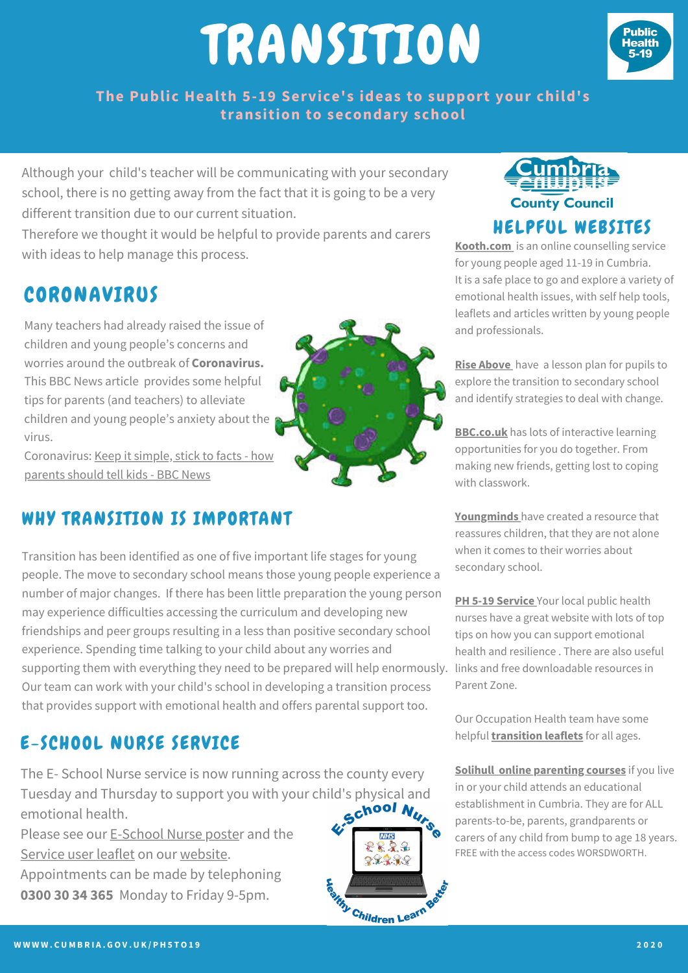# TRANSITION



**The Public Health 5-19 Service's ideas to support your child's transition to secondary school**

Although your child's teacher will be communicating with your secondary school, there is no getting away from the fact that it is going to be a very different transition due to our current situation.

Therefore we thought it would be helpful to provide parents and carers with ideas to help manage this process.

### CORONAVIRUS

Many teachers had already raised the issue of children and young people's concerns and worries around the outbreak of **Coronavirus.** This BBC News article provides some helpful tips for parents (and teachers) to alleviate children and young people's anxiety about the virus.

[Coronavirus:](https://www.bbc.co.uk/news/uk-51734855) Keep it simple, stick to facts - how parents should tell kids - BBC News

### WHY TRANSITION IS IMPORTANT

supporting them with everything they need to be prepared will help enormously. Iinks and free downloadable resources in Transition has been identified as one of five important life stages for young people. The move to secondary school means those young people experience a number of major changes. If there has been little preparation the young person may experience difficulties accessing the curriculum and developing new friendships and peer groups resulting in a less than positive secondary school experience. Spending time talking to your child about any worries and Our team can work with your child's school in developing a transition process that provides support with emotional health and offers parental support too.

### E-SCHOOL NURSE SERVICE

The E- School Nurse service is now running across the county every Tuesday and Thursday to support you with your child's physical and<br>emotional health.<br> $\bullet$ emotional health.

Please see our [E-School](https://www.cumbria.gov.uk/eLibrary/Content/Internet/537/17241/4365715322.pdf) Nurse poster and the [Service](https://www.cumbria.gov.uk/eLibrary/Content/Internet/537/17241/4365715387.pdf) user leaflet on our [website.](http://www.cumbria.gov.uk/ph5to19)

Appointments can be made by telephoning **0300 30 34 365** Monday to Friday 9-5pm.



222£  $22228$ 

Children Learn Be



**[Kooth.com](http://www.kooth.com/)** [i](http://www.kooth.com/)s an online counselling service for young people aged 11-19 in Cumbria. It is a safe place to go and explore a variety of emotional health issues, with self help tools, leaflets and articles written by young people and professionals.

**Rise [Above](https://campaignresources.phe.gov.uk/schools/resources/transition-to-secondary-school-lesson-plan-pack)** have a lesson plan for pupils to explore the transition to secondary school and identify strategies to deal with change.

**[BBC.co.uk](https://www.bbc.co.uk/bitesize/tags/zh4wy9q/starting-secondary-school/1)** has lots of interactive learning opportunities for you do together. From making new friends, getting lost to coping with classwork.

**[Youngminds](http://www.youngminds.org.uk/)** have created a resource that reassures children, that they are not alone when it comes to their worries about secondary school.

**PH 5-19 [Service](http://www.cumbria.gov.uk/ph5to19)** Your local public health nurses have a great website with lots of top tips on how you can support emotional health and resilience . There are also useful Parent Zone.

Our Occupation Health team have some helpful **[transition](https://www.ncic.nhs.uk/services/childrens-therapy-toolkit) leaflets** for all ages.

**[Solihull](http://www.inourplace.co.uk/learn) online [parenting](http://www.inourplace.co.uk/learn) courses** if you live in or your child attends an educational establishment in Cumbria. They are for ALL parents-to-be, parents, grandparents or carers of any child from bump to age 18 years. FREE with the access codes WORSDWORTH.